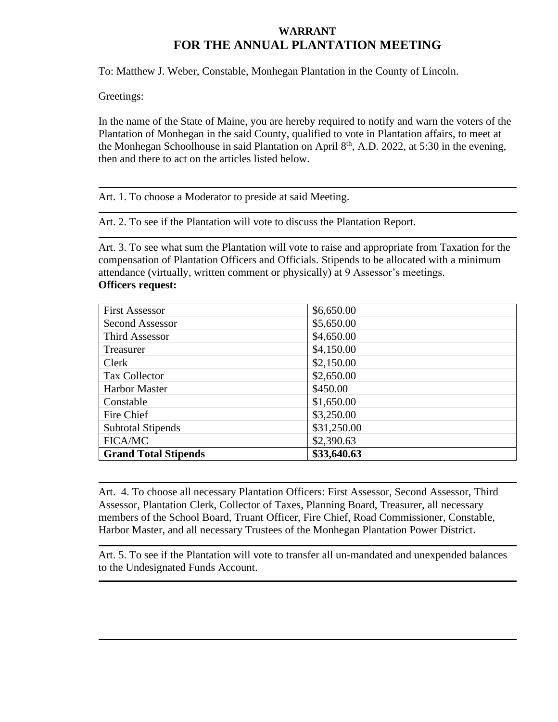# **WARRANT FOR THE ANNUAL PLANTATION MEETING**

To: Matthew J. Weber, Constable, Monhegan Plantation in the County of Lincoln.

Greetings:

In the name of the State of Maine, you are hereby required to notify and warn the voters of the Plantation of Monhegan in the said County, qualified to vote in Plantation affairs, to meet at the Monhegan Schoolhouse in said Plantation on April 8<sup>th</sup>, A.D. 2022, at 5:30 in the evening, then and there to act on the articles listed below.

Art. 1. To choose a Moderator to preside at said Meeting.

Art. 2. To see if the Plantation will vote to discuss the Plantation Report.

Art. 3. To see what sum the Plantation will vote to raise and appropriate from Taxation for the compensation of Plantation Officers and Officials. Stipends to be allocated with a minimum attendance (virtually, written comment or physically) at 9 Assessor's meetings. **Officers request:**

| <b>First Assessor</b>       | \$6,650.00  |
|-----------------------------|-------------|
| <b>Second Assessor</b>      | \$5,650.00  |
| Third Assessor              | \$4,650.00  |
| Treasurer                   | \$4,150.00  |
| Clerk                       | \$2,150.00  |
| <b>Tax Collector</b>        | \$2,650.00  |
| <b>Harbor Master</b>        | \$450.00    |
| Constable                   | \$1,650.00  |
| Fire Chief                  | \$3,250.00  |
| <b>Subtotal Stipends</b>    | \$31,250.00 |
| <b>FICA/MC</b>              | \$2,390.63  |
| <b>Grand Total Stipends</b> | \$33,640.63 |

Art. 4. To choose all necessary Plantation Officers: First Assessor, Second Assessor, Third Assessor, Plantation Clerk, Collector of Taxes, Planning Board, Treasurer, all necessary members of the School Board, Truant Officer, Fire Chief, Road Commissioner, Constable, Harbor Master, and all necessary Trustees of the Monhegan Plantation Power District.

Art. 5. To see if the Plantation will vote to transfer all un-mandated and unexpended balances to the Undesignated Funds Account.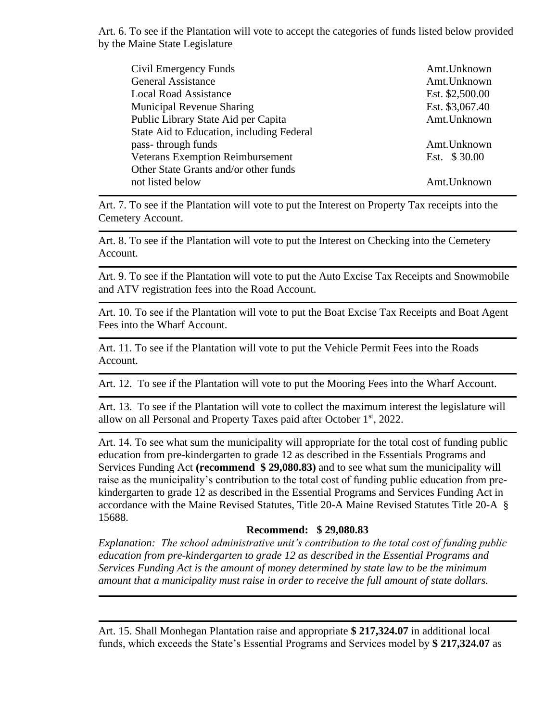Art. 6. To see if the Plantation will vote to accept the categories of funds listed below provided by the Maine State Legislature

| Civil Emergency Funds                     | Amt.Unknown     |
|-------------------------------------------|-----------------|
| <b>General Assistance</b>                 | Amt.Unknown     |
| <b>Local Road Assistance</b>              | Est. \$2,500.00 |
| <b>Municipal Revenue Sharing</b>          | Est. \$3,067.40 |
| Public Library State Aid per Capita       | Amt.Unknown     |
| State Aid to Education, including Federal |                 |
| pass-through funds                        | Amt.Unknown     |
| <b>Veterans Exemption Reimbursement</b>   | Est. \$30.00    |
| Other State Grants and/or other funds     |                 |
| not listed below                          | Amt.Unknown     |

Art. 7. To see if the Plantation will vote to put the Interest on Property Tax receipts into the Cemetery Account.

Art. 8. To see if the Plantation will vote to put the Interest on Checking into the Cemetery Account.

Art. 9. To see if the Plantation will vote to put the Auto Excise Tax Receipts and Snowmobile and ATV registration fees into the Road Account.

Art. 10. To see if the Plantation will vote to put the Boat Excise Tax Receipts and Boat Agent Fees into the Wharf Account.

Art. 11. To see if the Plantation will vote to put the Vehicle Permit Fees into the Roads Account.

Art. 12. To see if the Plantation will vote to put the Mooring Fees into the Wharf Account.

Art. 13. To see if the Plantation will vote to collect the maximum interest the legislature will allow on all Personal and Property Taxes paid after October 1<sup>st</sup>, 2022.

Art. 14. To see what sum the municipality will appropriate for the total cost of funding public education from pre-kindergarten to grade 12 as described in the Essentials Programs and Services Funding Act **(recommend \$ 29,080.83)** and to see what sum the municipality will raise as the municipality's contribution to the total cost of funding public education from prekindergarten to grade 12 as described in the Essential Programs and Services Funding Act in accordance with the Maine Revised Statutes, Title 20-A Maine Revised Statutes Title 20-A § 15688.

#### **Recommend: \$ 29,080.83**

*Explanation: The school administrative unit's contribution to the total cost of funding public education from pre-kindergarten to grade 12 as described in the Essential Programs and Services Funding Act is the amount of money determined by state law to be the minimum amount that a municipality must raise in order to receive the full amount of state dollars.*

Art. 15. Shall Monhegan Plantation raise and appropriate **\$ 217,324.07** in additional local funds, which exceeds the State's Essential Programs and Services model by **\$ 217,324.07** as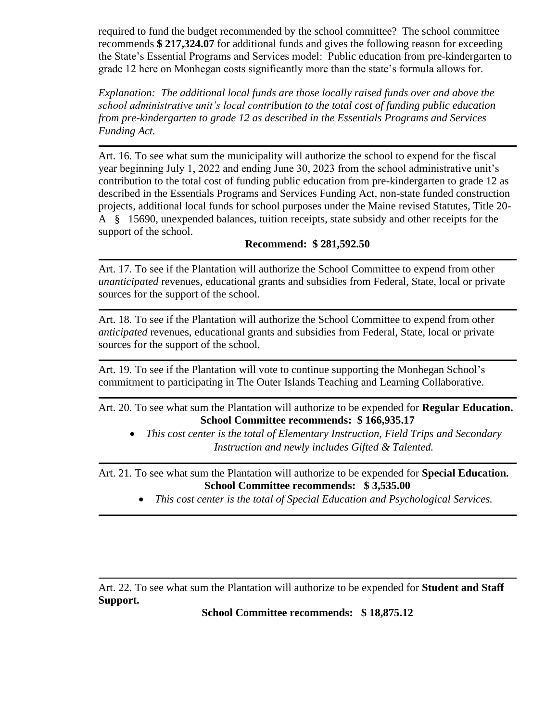required to fund the budget recommended by the school committee? The school committee recommends **\$ 217,324.07** for additional funds and gives the following reason for exceeding the State's Essential Programs and Services model: Public education from pre-kindergarten to grade 12 here on Monhegan costs significantly more than the state's formula allows for.

*Explanation: The additional local funds are those locally raised funds over and above the school administrative unit's local contribution to the total cost of funding public education from pre-kindergarten to grade 12 as described in the Essentials Programs and Services Funding Act.*

Art. 16. To see what sum the municipality will authorize the school to expend for the fiscal year beginning July 1, 2022 and ending June 30, 2023 from the school administrative unit's contribution to the total cost of funding public education from pre-kindergarten to grade 12 as described in the Essentials Programs and Services Funding Act, non-state funded construction projects, additional local funds for school purposes under the Maine revised Statutes, Title 20- A § 15690, unexpended balances, tuition receipts, state subsidy and other receipts for the support of the school.

## **Recommend: \$ 281,592.50**

Art. 17. To see if the Plantation will authorize the School Committee to expend from other *unanticipated* revenues, educational grants and subsidies from Federal, State, local or private sources for the support of the school.

Art. 18. To see if the Plantation will authorize the School Committee to expend from other *anticipated* revenues, educational grants and subsidies from Federal, State, local or private sources for the support of the school.

Art. 19. To see if the Plantation will vote to continue supporting the Monhegan School's commitment to participating in The Outer Islands Teaching and Learning Collaborative.

Art. 20. To see what sum the Plantation will authorize to be expended for **Regular Education. School Committee recommends: \$ 166,935.17**

• *This cost center is the total of Elementary Instruction, Field Trips and Secondary Instruction and newly includes Gifted & Talented.*

Art. 21. To see what sum the Plantation will authorize to be expended for **Special Education. School Committee recommends: \$ 3,535.00**

• *This cost center is the total of Special Education and Psychological Services.*

Art. 22. To see what sum the Plantation will authorize to be expended for **Student and Staff Support.**

**School Committee recommends: \$ 18,875.12**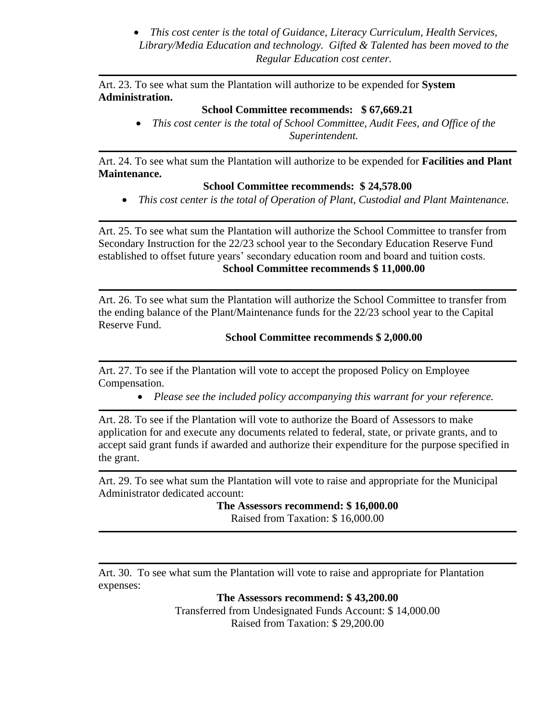• *This cost center is the total of Guidance, Literacy Curriculum, Health Services, Library/Media Education and technology. Gifted & Talented has been moved to the Regular Education cost center.*

Art. 23. To see what sum the Plantation will authorize to be expended for **System Administration.**

#### **School Committee recommends: \$ 67,669.21**

• *This cost center is the total of School Committee, Audit Fees, and Office of the Superintendent.*

Art. 24. To see what sum the Plantation will authorize to be expended for **Facilities and Plant Maintenance.**

## **School Committee recommends: \$ 24,578.00**

• *This cost center is the total of Operation of Plant, Custodial and Plant Maintenance.*

Art. 25. To see what sum the Plantation will authorize the School Committee to transfer from Secondary Instruction for the 22/23 school year to the Secondary Education Reserve Fund established to offset future years' secondary education room and board and tuition costs. **School Committee recommends \$ 11,000.00**

Art. 26. To see what sum the Plantation will authorize the School Committee to transfer from the ending balance of the Plant/Maintenance funds for the 22/23 school year to the Capital Reserve Fund.

### **School Committee recommends \$ 2,000.00**

Art. 27. To see if the Plantation will vote to accept the proposed Policy on Employee Compensation.

• *Please see the included policy accompanying this warrant for your reference.*

Art. 28. To see if the Plantation will vote to authorize the Board of Assessors to make application for and execute any documents related to federal, state, or private grants, and to accept said grant funds if awarded and authorize their expenditure for the purpose specified in the grant.

Art. 29. To see what sum the Plantation will vote to raise and appropriate for the Municipal Administrator dedicated account:

**The Assessors recommend: \$ 16,000.00**

Raised from Taxation: \$ 16,000.00

Art. 30. To see what sum the Plantation will vote to raise and appropriate for Plantation expenses:

> **The Assessors recommend: \$ 43,200.00** Transferred from Undesignated Funds Account: \$ 14,000.00 Raised from Taxation: \$ 29,200.00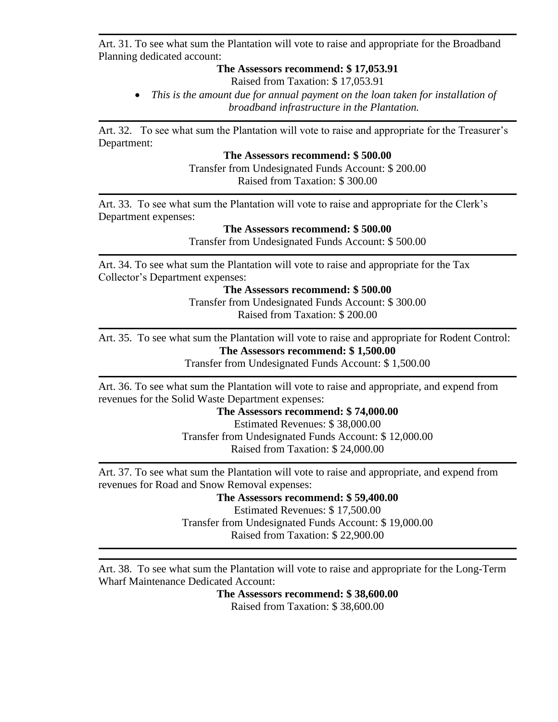Art. 31. To see what sum the Plantation will vote to raise and appropriate for the Broadband Planning dedicated account:

### **The Assessors recommend: \$ 17,053.91**

Raised from Taxation: \$ 17,053.91

• *This is the amount due for annual payment on the loan taken for installation of broadband infrastructure in the Plantation.*

Art. 32. To see what sum the Plantation will vote to raise and appropriate for the Treasurer's Department:

### **The Assessors recommend: \$ 500.00**

Transfer from Undesignated Funds Account: \$ 200.00 Raised from Taxation: \$ 300.00

Art. 33. To see what sum the Plantation will vote to raise and appropriate for the Clerk's Department expenses:

> **The Assessors recommend: \$ 500.00** Transfer from Undesignated Funds Account: \$ 500.00

Art. 34. To see what sum the Plantation will vote to raise and appropriate for the Tax Collector's Department expenses:

**The Assessors recommend: \$ 500.00**

Transfer from Undesignated Funds Account: \$ 300.00 Raised from Taxation: \$ 200.00

Art. 35. To see what sum the Plantation will vote to raise and appropriate for Rodent Control: **The Assessors recommend: \$ 1,500.00**

Transfer from Undesignated Funds Account: \$ 1,500.00

Art. 36. To see what sum the Plantation will vote to raise and appropriate, and expend from revenues for the Solid Waste Department expenses:

#### **The Assessors recommend: \$ 74,000.00**

Estimated Revenues: \$ 38,000.00 Transfer from Undesignated Funds Account: \$ 12,000.00 Raised from Taxation: \$ 24,000.00

Art. 37. To see what sum the Plantation will vote to raise and appropriate, and expend from revenues for Road and Snow Removal expenses:

**The Assessors recommend: \$ 59,400.00**

Estimated Revenues: \$ 17,500.00 Transfer from Undesignated Funds Account: \$ 19,000.00 Raised from Taxation: \$ 22,900.00

Art. 38. To see what sum the Plantation will vote to raise and appropriate for the Long-Term Wharf Maintenance Dedicated Account:

> **The Assessors recommend: \$ 38,600.00** Raised from Taxation: \$ 38,600.00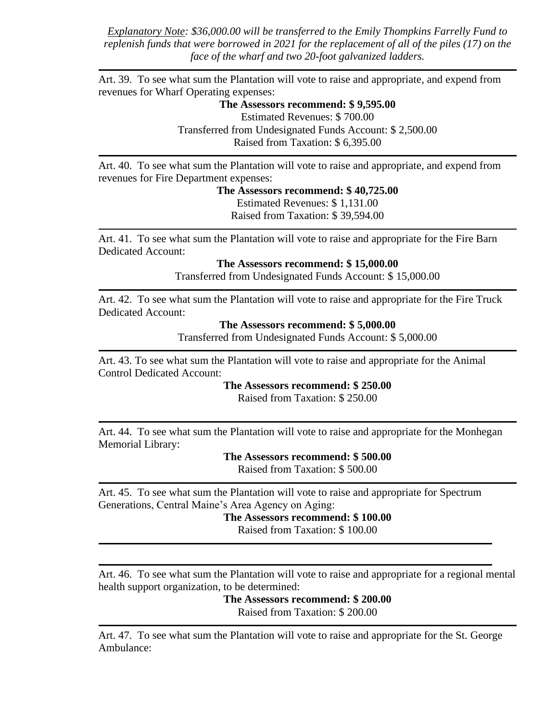*Explanatory Note: \$36,000.00 will be transferred to the Emily Thompkins Farrelly Fund to replenish funds that were borrowed in 2021 for the replacement of all of the piles (17) on the face of the wharf and two 20-foot galvanized ladders.* 

Art. 39. To see what sum the Plantation will vote to raise and appropriate, and expend from revenues for Wharf Operating expenses:

> **The Assessors recommend: \$ 9,595.00** Estimated Revenues: \$ 700.00 Transferred from Undesignated Funds Account: \$ 2,500.00 Raised from Taxation: \$ 6,395.00

Art. 40. To see what sum the Plantation will vote to raise and appropriate, and expend from revenues for Fire Department expenses:

> **The Assessors recommend: \$ 40,725.00** Estimated Revenues: \$ 1,131.00 Raised from Taxation: \$ 39,594.00

Art. 41. To see what sum the Plantation will vote to raise and appropriate for the Fire Barn Dedicated Account:

**The Assessors recommend: \$ 15,000.00**

Transferred from Undesignated Funds Account: \$ 15,000.00

Art. 42. To see what sum the Plantation will vote to raise and appropriate for the Fire Truck Dedicated Account:

**The Assessors recommend: \$ 5,000.00**

Transferred from Undesignated Funds Account: \$ 5,000.00

Art. 43. To see what sum the Plantation will vote to raise and appropriate for the Animal Control Dedicated Account:

**The Assessors recommend: \$ 250.00**

Raised from Taxation: \$ 250.00

Art. 44. To see what sum the Plantation will vote to raise and appropriate for the Monhegan Memorial Library:

**The Assessors recommend: \$ 500.00**

Raised from Taxation: \$ 500.00

Art. 45. To see what sum the Plantation will vote to raise and appropriate for Spectrum Generations, Central Maine's Area Agency on Aging:

**The Assessors recommend: \$ 100.00** 

Raised from Taxation: \$ 100.00

Art. 46. To see what sum the Plantation will vote to raise and appropriate for a regional mental health support organization, to be determined:

> **The Assessors recommend: \$ 200.00**  Raised from Taxation: \$ 200.00

Art. 47. To see what sum the Plantation will vote to raise and appropriate for the St. George Ambulance: